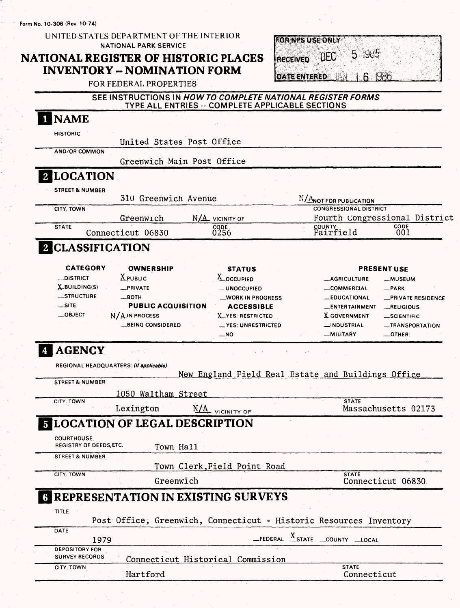Form No. **10-306** (Rev. 10-74)

UNITED STATES DEPARTMENT OF THE INTERIOR NATIONAL PARK SERVICE

### **NATIONAL REGISTER OF HISTORIC PLACES INVENTORY -- NOMINATION FORM**

|                      | <b>FOR NPS USE ONLY</b> |       |
|----------------------|-------------------------|-------|
|                      |                         |       |
|                      |                         | -1985 |
| <b>IRECEIVED DEC</b> |                         |       |
|                      |                         |       |
|                      |                         |       |
|                      |                         |       |
| <b>DATE ENTERED</b>  |                         |       |

FOR FEDERAL PROPERTIES

#### SEE INSTRUCTIONS IN *HOW TO COMPLETE NATIONAL REGISTER FORMS* TYPE ALL ENTRIES--COMPLETE APPLICABLE SECTIONS

| HISTORIC                            |                                         | United States Post Office                                          |                                                                     |                                    |
|-------------------------------------|-----------------------------------------|--------------------------------------------------------------------|---------------------------------------------------------------------|------------------------------------|
| <b>AND/OR COMMON</b>                |                                         | Greenwich Main Post Office                                         |                                                                     |                                    |
| <b>LOCATION</b>                     |                                         |                                                                    |                                                                     |                                    |
|                                     |                                         |                                                                    |                                                                     |                                    |
| <b>STREET &amp; NUMBER</b>          | 310 Greenwich Avenue                    |                                                                    | N/ANOT FOR PUBLICATION                                              |                                    |
| CITY, TOWN                          |                                         |                                                                    | <b>CONGRESSIONAL DISTRICT</b>                                       |                                    |
| <b>STATE</b>                        | Greenwich                               | N/A VICINITY OF                                                    | Fourth Congressional District                                       | CODE                               |
|                                     | Connecticut 06830                       | CODE<br>0256                                                       | COUNTY<br>Fairfield                                                 | 001                                |
| 2 CLASSIFICATION                    |                                         |                                                                    |                                                                     |                                    |
|                                     |                                         |                                                                    |                                                                     |                                    |
| <b>CATEGORY</b><br><b>_DISTRICT</b> | <b>OWNERSHIP</b><br>$X_{\text{PUBLIC}}$ | <b>STATUS</b><br>X_OCCUPIED                                        |                                                                     | <b>PRESENT USE</b>                 |
| X_BUILDING(S)                       | _PRIVATE                                |                                                                    | _AGRICULTURE                                                        | <b>__MUSEUM</b>                    |
| _STRUCTURE                          | $\_$ BOTH                               | <b>_UNOCCUPIED</b>                                                 | _COMMERCIAL                                                         | $-$ PARK                           |
| $\equiv$ SITE                       | <b>PUBLIC ACQUISITION</b>               | <b>_WORK IN PROGRESS</b>                                           | <b>_EDUCATIONAL</b>                                                 | <b>_PRIVATE RESIDENCE</b>          |
| $\_$ OBJECT                         |                                         | <b>ACCESSIBLE</b>                                                  | <b>ENTERTAINMENT</b>                                                | <b>_RELIGIOUS</b>                  |
|                                     | N/AIN PROCESS                           | <b>X_YES: RESTRICTED</b>                                           | <b>X-GOVERNMENT</b>                                                 | SCIENTIFIC                         |
|                                     | <b>__BEING CONSIDERED</b>               | <b>__YES: UNRESTRICTED</b><br>$-NO$                                | <b>_INDUSTRIAL</b><br>_MILITARY                                     | -TRANSPORTATION<br>$\equiv$ OTHER: |
|                                     |                                         |                                                                    |                                                                     |                                    |
| <b>STREET &amp; NUMBER</b>          |                                         | New England Field Real Estate and Buildings Office                 |                                                                     |                                    |
| CITY, TOWN                          | 1050 Waltham Street                     |                                                                    | <b>STATE</b>                                                        |                                    |
|                                     | Lexington                               | N/A VICINITY OF                                                    |                                                                     | Massachusetts 02173                |
|                                     |                                         | <b>5 LOCATION OF LEGAL DESCRIPTION</b>                             |                                                                     |                                    |
| <b>COURTHOUSE.</b>                  |                                         |                                                                    |                                                                     |                                    |
| REGISTRY OF DEEDS, ETC.             | Town Hall                               |                                                                    |                                                                     |                                    |
| <b>STREET &amp; NUMBER</b>          |                                         |                                                                    |                                                                     |                                    |
| CITY, TOWN                          |                                         | Town Clerk, Field Point Road                                       | <b>STATE</b>                                                        |                                    |
|                                     | Greenwich                               |                                                                    |                                                                     | Connecticut 06830                  |
|                                     |                                         |                                                                    |                                                                     |                                    |
|                                     |                                         | <b>G REPRESENTATION IN EXISTING SURVEYS</b>                        |                                                                     |                                    |
| TITLE                               |                                         |                                                                    |                                                                     |                                    |
| DATE                                |                                         | Post Office, Greenwich, Connecticut - Historic Resources Inventory |                                                                     |                                    |
| 1979<br><b>DEPOSITORY FOR</b>       |                                         |                                                                    | $\text{LEDERAL}$ $\frac{X}{X}$ STATE $\text{LOUNTY}$ $\text{LOCAL}$ |                                    |
| <b>SURVEY RECORDS</b><br>CITY, TOWN | Hartford                                | Connecticut Historical Commission                                  | <b>STATE</b><br>Connecticut                                         |                                    |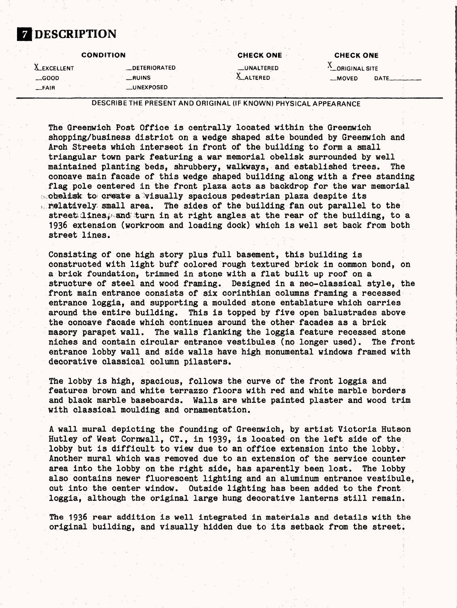#### **7 DESCRIPTION**

| <b>CONDITION</b>   |                      | <b>CHECK ONE</b>  | <b>CHECK ONE</b>       |       |  |
|--------------------|----------------------|-------------------|------------------------|-------|--|
| <b>A_EXCELLENT</b> | <b>_DETERIORATED</b> | <b>LUNALTERED</b> | <b>ALORIGINAL SITE</b> |       |  |
| $-$ GOOD           | __RUINS              | A ALTERED         | $-MOVED$               | DATE. |  |
| _FAIR              | _UNEXPOSED           |                   |                        |       |  |

DESCRIBE THE PRESENT AND ORIGINAL (IF KNOWN) PHYSICAL APPEARANCE

The Greenwich Post Office is centrally located within the Greenwich shopping/business district on a wedge shaped site bounded by Greenwich and Arch Streets which intersect in front of the building to form a small triangular town park featuring a war memorial obelisk surrounded by well maintained planting beds, shrubbery, walkways, and established trees. The concave main facade of this wedge shaped building along with a free standing flag pole centered in the front plaza acts as backdrop for the war memorial  $\sim$  obelisk to create a visually spacious pedestrian plaza despite its relatively: small area. The sides of the building fan out parallel to the street linest and turn in at right angles at the rear of the building, to a 1936 extension (workroom and loading dock) which is well set back from both street lines.

Consisting of one high story plus full basement, this building is constructed with light buff colored rough textured brick in common bond, on a brick foundation, trimmed in stone with a flat built up roof on a structure of steel and wood framing. Designed in a neo-classical style, the front main entrance consists of six corinthian columns framing a recessed entrance loggia, and supporting a moulded stone entablature which carries around the entire building. This is topped by five open balustrades above the concave facade which continues around the other facades as a brick masory parapet wall. The walls flanking the loggia feature recessed stone niches and contain circular entrance vestibules (no longer used). The front entrance lobby wall and side walls have high monumental windows framed with decorative classical column pilasters.

The lobby is high, spacious, follows the curve of the front loggia and features brown and white terrazzo floors with red and white marble borders and black marble baseboards. Walls are white painted plaster and wood trim with classical moulding and ornamentation.

A wall mural depicting the founding of Greenwich, by artist Victoria Hutson Hutley of West Cornwall, CT., in 1939, is located on the left side of the lobby but is difficult to view due to an office extension into the lobby. Another mural which was removed due to an extension of the service counter area into the lobby on the right side, has aparently been lost. The lobby also contains newer fluorescent lighting and an aluminum entrance vestibule, cut into the center window. Outside lighting has been added to the front loggia, although the original large hung decorative lanterns still remain.

The 1936 rear addition is well integrated in materials and details with the original building, and visually hidden due to its setback from the street.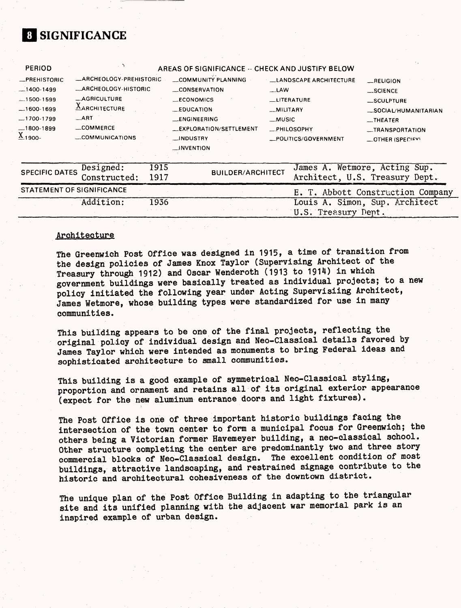## **8 SIGNIFICANCE**

| $-1600-1699$<br>$-1700-1799$<br>$\underline{X}_{1900}$ . | <b>AARCHITECTURE</b><br>ART<br>_COMMERCE<br>COMMUNICATIONS | $_{\text{EDUCATION}}$<br>_ENGINEERING<br>__EXPLORATION/SETTLEMENT<br>_INDUSTRY<br>__INVENTION | _MILITARY<br>__MUSIC<br>_PHILOSOPHY<br>_POLITICS/GOVERNMENT | _SOCIAL/HUMANITARIAN<br>$-$ THEATER<br><b>__TRANSPORTATION</b><br><b>COTHER (SPECIFY)</b> |
|----------------------------------------------------------|------------------------------------------------------------|-----------------------------------------------------------------------------------------------|-------------------------------------------------------------|-------------------------------------------------------------------------------------------|
| $R$ PREHISTORIC                                          | -ARCHEOLOGY-PREHISTORIC                                    | COMMUNITY PLANNING                                                                            | <b>LEANDSCAPE ARCHITECTURE</b>                              | RELIGION                                                                                  |
| $-1400-1499$                                             | -ARCHEOLOGY-HISTORIC                                       | <b>CONSERVATION</b>                                                                           | $-LAW$                                                      | $$ SCIENCE                                                                                |
| $-1500 - 1599$                                           | -AGRICULTURE                                               | __ECONOMICS                                                                                   | <b>LUTERATURE</b>                                           | _SCULPTURE                                                                                |

| SPECIFIC DATES Designed: 1915<br>Constructed: 1917 |      | <b>BUILDER/ARCHITECT</b> | James A. Wetmore, Acting Sup.<br>Architect, U.S. Treasury Dept. |
|----------------------------------------------------|------|--------------------------|-----------------------------------------------------------------|
| STATEMENT OF SIGNIFICANCE                          |      |                          | E. T. Abbott Construction Company                               |
| Addition:                                          | 1936 |                          | Louis A. Simon, Sup. Architect                                  |
|                                                    |      |                          | U.S. Treasury Dept.                                             |

#### Architecture

The Greenwich Post Office was designed in 1915, a time of transition from the design policies of James Knox Taylor (Supervising Architect of the Treasury through 1912) and Oscar Wenderoth (1913 to 1914) in which government buildings were basically treated as individual projects; to a new policy initiated the following year under Acting Supervising Architect, James Wetmore, whose building types were standardized for use in many communities.

This building appears to be one of the final projects, reflecting the original policy of individual design and Neo-Classical details favored by James Taylor which were intended as monuments to bring Federal ideas and sophisticated architecture to small communities.

This building is a good example of symmetrical Neo-Classical styling, proportion and ornament and retains all of its original exterior appearance (expect for the new aluminum entrance doors and light fixtures).

The Post Office is one of three important historic buildings facing the intersection of the town center to form a municipal focus for Greenwich; the others being a Victorian former Havemeyer building, a neo-classical school. Other structure completing the center are predominantly two and three story commercial blocks of Neo-Classical design. The excellent condition of most commercial blocks of Neo-Classical design. buildings, attractive landscaping, and restrained signage contribute to the historic and architectural cohesiveness of the downtown district.

The unique plan of the Post Office Building in adapting to the triangular site and its unified planning with the adjacent war memorial park is an inspired example of urban design.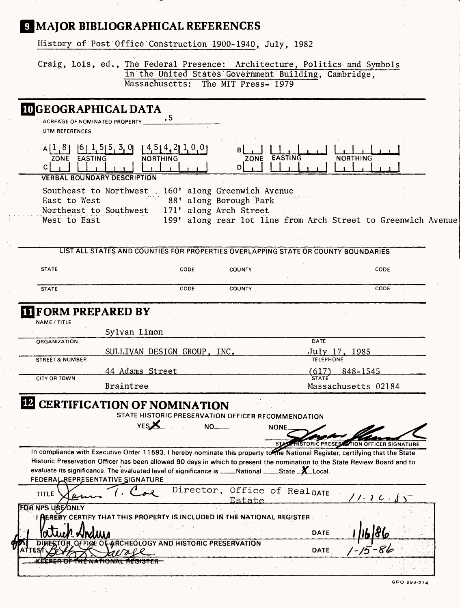# **MAJOR BIBLIOGRAPHICAL REFERENCES**

History of Post Office Construction 1900-1940, July, 1982

Craig, Lois, ed., The Federal Presence: Architecture, Politics and Symbols in the United States Government Building, Cambridge, Massachusetts: The MIT Press- 1979

|                                 | <b>IDGEOGRAPHICAL DATA</b>                                                                                                                                                                                                                                                                                                                                                                                                                                  |                 |                                                                               |                    |                                |                               |  |
|---------------------------------|-------------------------------------------------------------------------------------------------------------------------------------------------------------------------------------------------------------------------------------------------------------------------------------------------------------------------------------------------------------------------------------------------------------------------------------------------------------|-----------------|-------------------------------------------------------------------------------|--------------------|--------------------------------|-------------------------------|--|
|                                 | ACREAGE OF NOMINATED PROPERTY                                                                                                                                                                                                                                                                                                                                                                                                                               |                 |                                                                               |                    |                                |                               |  |
| UTM REFERENCES                  |                                                                                                                                                                                                                                                                                                                                                                                                                                                             |                 |                                                                               |                    |                                |                               |  |
| EASTING<br>ZONE<br>$\mathsf{C}$ | $A[1,8]$ [6] $1,5[5,3,0]$ [4.5[4.2] $1,0,0$ ]                                                                                                                                                                                                                                                                                                                                                                                                               | <b>NORTHING</b> | D <sub>1</sub>                                                                | ZONE EASTING       |                                | <b>NORTHING</b>               |  |
|                                 | <b>VERBAL BOUNDARY DESCRIPTION</b>                                                                                                                                                                                                                                                                                                                                                                                                                          |                 |                                                                               |                    |                                |                               |  |
| East to West                    | Southeast to Northwest 160' along Greenwich Avenue<br>Northeast to Southwest                                                                                                                                                                                                                                                                                                                                                                                |                 | 88' along Borough Park<br>171' along Arch Street                              |                    |                                |                               |  |
| West to East                    |                                                                                                                                                                                                                                                                                                                                                                                                                                                             |                 | 199' along rear lot line from Arch Street to Greenwich Avenue                 |                    |                                |                               |  |
|                                 |                                                                                                                                                                                                                                                                                                                                                                                                                                                             |                 |                                                                               |                    |                                |                               |  |
|                                 | LIST ALL STATES AND COUNTIES FOR PROPERTIES OVERLAPPING STATE OR COUNTY BOUNDARIES                                                                                                                                                                                                                                                                                                                                                                          |                 |                                                                               |                    |                                |                               |  |
|                                 |                                                                                                                                                                                                                                                                                                                                                                                                                                                             |                 |                                                                               |                    |                                |                               |  |
| <b>STATE</b>                    |                                                                                                                                                                                                                                                                                                                                                                                                                                                             | CODE            | COUNTY                                                                        |                    |                                | CODE                          |  |
| <b>STATE</b>                    |                                                                                                                                                                                                                                                                                                                                                                                                                                                             | CODE            | <b>COUNTY</b>                                                                 |                    |                                | CODE                          |  |
|                                 |                                                                                                                                                                                                                                                                                                                                                                                                                                                             |                 |                                                                               |                    |                                |                               |  |
|                                 | <b>II FORM PREPARED BY</b>                                                                                                                                                                                                                                                                                                                                                                                                                                  |                 |                                                                               |                    |                                |                               |  |
| NAME / TITLE                    |                                                                                                                                                                                                                                                                                                                                                                                                                                                             |                 |                                                                               |                    |                                |                               |  |
| ORGANIZATION                    | Sylvan Limon                                                                                                                                                                                                                                                                                                                                                                                                                                                |                 |                                                                               |                    | DATE                           |                               |  |
|                                 | SULLIVAN DESIGN GROUP, INC.                                                                                                                                                                                                                                                                                                                                                                                                                                 |                 |                                                                               |                    | July 17, 1985                  |                               |  |
| <b>STREET &amp; NUMBER</b>      |                                                                                                                                                                                                                                                                                                                                                                                                                                                             |                 |                                                                               |                    |                                |                               |  |
| <b>CITY OR TOWN</b>             | 44 Adams Street                                                                                                                                                                                                                                                                                                                                                                                                                                             |                 |                                                                               |                    | (617) 848-1545<br><b>STATE</b> |                               |  |
|                                 | Braintree                                                                                                                                                                                                                                                                                                                                                                                                                                                   |                 |                                                                               |                    |                                | Massachusetts 02184           |  |
|                                 | <b>E CERTIFICATION OF NOMINATION</b><br><b>YES</b><br>In compliance with Executive Order 11593, I hereby nominate this property to the National Register, certifying that the State<br>Historic Preservation Officer has been allowed 90 days in which to present the nomination to the State Review Board and to<br>evaluate its significance. The evaluated level of significance is ____National ____State _X_Local.<br>FEDERAL REPRESENTATIVE SIGNATURE |                 | STATE HISTORIC PRESERVATION OFFICER RECOMMENDATION<br>$NO_{---}$              | <b>NONE</b><br>ST. |                                | <b>TION OFFICER SIGNATURE</b> |  |
| <b>TITLE</b>                    |                                                                                                                                                                                                                                                                                                                                                                                                                                                             |                 | Director, Office of Real DATE<br>Estate                                       |                    |                                |                               |  |
|                                 |                                                                                                                                                                                                                                                                                                                                                                                                                                                             |                 | <b>AEREBY CERTIFY THAT THIS PROPERTY IS INCLUDED IN THE NATIONAL REGISTER</b> |                    | DATE                           |                               |  |
|                                 |                                                                                                                                                                                                                                                                                                                                                                                                                                                             |                 |                                                                               |                    |                                |                               |  |
|                                 | <b><i><u>MNUWA</u></i></b><br>OFFICE OF ARCHEOLOGY AND HISTORIC PRESERVATION                                                                                                                                                                                                                                                                                                                                                                                |                 |                                                                               |                    |                                |                               |  |
| FOR NPS USE/ONLY                | <del>IE NATIONAL RECISTER-</del>                                                                                                                                                                                                                                                                                                                                                                                                                            |                 |                                                                               |                    | DATE                           |                               |  |